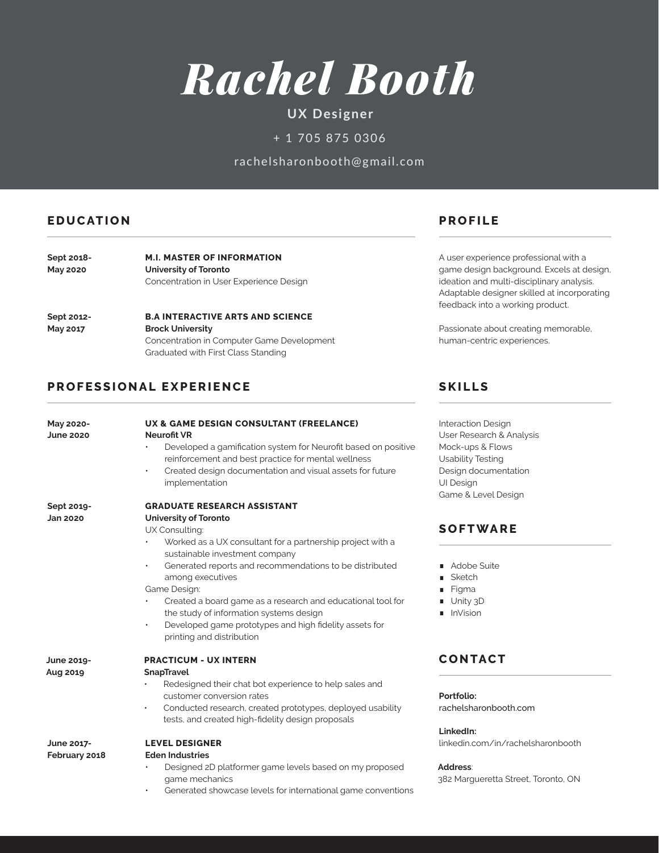

# **UX Designer**

+ 1 705 875 0306

rachelsharonbooth@gmail.com

### **EDUCATION PROFILE**

| Sept 2018-      | <b>M.I. MASTER OF INFORMATION</b><br>University of Toronto |  |
|-----------------|------------------------------------------------------------|--|
| <b>May 2020</b> |                                                            |  |
|                 | Concentration in User Experience Design                    |  |

**B.A INTERACTIVE ARTS AND SCIENCE Brock University** Concentration in Computer Game Development Graduated with First Class Standing **Sept 2012- May 2017**

#### **PROFESSIONAL EXPERIENCE**

A user experience professional with a game design background. Excels at design, ideation and multi-disciplinary analysis. Adaptable designer skilled at incorporating feedback into a working product.

Passionate about creating memorable, human-centric experiences.

#### **SKILLS**

| May 2020-<br><b>June 2020</b> | UX & GAME DESIGN CONSULTANT (FREELANCE)<br><b>Neurofit VR</b><br>Developed a gamification system for Neurofit based on positive<br>$\bullet$<br>reinforcement and best practice for mental wellness<br>Created design documentation and visual assets for future<br>$\bullet$<br>implementation                                                                                                                                                                          | <b>Interaction Design</b><br>User Research & Analysis<br>Mock-ups & Flows<br><b>Usability Testing</b><br>Design documentation<br><b>UI Design</b><br>Game & Level Design |
|-------------------------------|--------------------------------------------------------------------------------------------------------------------------------------------------------------------------------------------------------------------------------------------------------------------------------------------------------------------------------------------------------------------------------------------------------------------------------------------------------------------------|--------------------------------------------------------------------------------------------------------------------------------------------------------------------------|
| Sept 2019-                    | <b>GRADUATE RESEARCH ASSISTANT</b>                                                                                                                                                                                                                                                                                                                                                                                                                                       |                                                                                                                                                                          |
| <b>Jan 2020</b>               | <b>University of Toronto</b><br>UX Consulting:<br>Worked as a UX consultant for a partnership project with a<br>sustainable investment company<br>Generated reports and recommendations to be distributed<br>$\bullet$<br>among executives<br>Game Design:<br>Created a board game as a research and educational tool for<br>the study of information systems design<br>Developed game prototypes and high fidelity assets for<br>$\bullet$<br>printing and distribution | <b>SOFTWARE</b><br>Adobe Suite<br>Sketch<br>Figma<br>Unity 3D<br>InVision                                                                                                |
| June 2019-                    | <b>PRACTICUM - UX INTERN</b>                                                                                                                                                                                                                                                                                                                                                                                                                                             | <b>CONTACT</b>                                                                                                                                                           |
| Aug 2019                      | SnapTravel<br>Redesigned their chat bot experience to help sales and<br>customer conversion rates<br>Conducted research, created prototypes, deployed usability<br>$\bullet$<br>tests, and created high-fidelity design proposals                                                                                                                                                                                                                                        | Portfolio:<br>rachelsharonbooth.com<br>LinkedIn:                                                                                                                         |
| June 2017-<br>February 2018   | <b>LEVEL DESIGNER</b><br><b>Eden Industries</b><br>Designed 2D platformer game levels based on my proposed<br>game mechanics<br>Generated showcase levels for international game conventions<br>$\bullet$                                                                                                                                                                                                                                                                | linkedin.com/in/rachelsharonbooth<br>Address:<br>382 Margueretta Street, Toronto, ON                                                                                     |